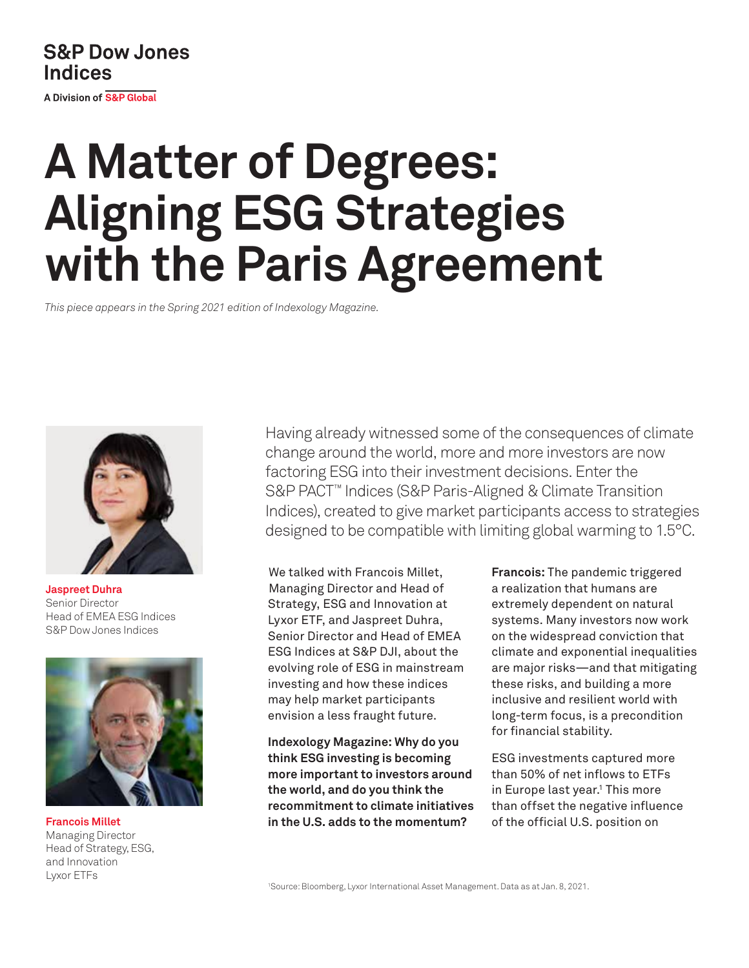# **S&P Dow Jones Indices**

A Division of S&P Global

# **A Matter of Degrees: Aligning ESG Strategies with the Paris Agreement**

*This piece appears in the Spring 2021 edition of Indexology Magazine.*



**Jaspreet Duhra**  Senior Director Head of EMEA ESG Indices S&P Dow Jones Indices



Managing Director Head of Strategy, ESG, and Innovation Lyxor ETFs

Having already witnessed some of the consequences of climate change around the world, more and more investors are now factoring ESG into their investment decisions. Enter the S&P PACT™ Indices (S&P Paris-Aligned & Climate Transition Indices), created to give market participants access to strategies designed to be compatible with limiting global warming to 1.5°C.

We talked with Francois Millet, Managing Director and Head of Strategy, ESG and Innovation at Lyxor ETF, and Jaspreet Duhra, Senior Director and Head of EMEA ESG Indices at S&P DJI, about the evolving role of ESG in mainstream investing and how these indices may help market participants envision a less fraught future.

**Indexology Magazine: Why do you think ESG investing is becoming more important to investors around the world, and do you think the recommitment to climate initiatives in the U.S. adds to the momentum? Francois Millet** of the official U.S. position on

**Francois:** The pandemic triggered a realization that humans are extremely dependent on natural systems. Many investors now work on the widespread conviction that climate and exponential inequalities are major risks—and that mitigating these risks, and building a more inclusive and resilient world with long-term focus, is a precondition for financial stability.

ESG investments captured more than 50% of net inflows to ETFs in Europe last year.<sup>1</sup> This more than offset the negative influence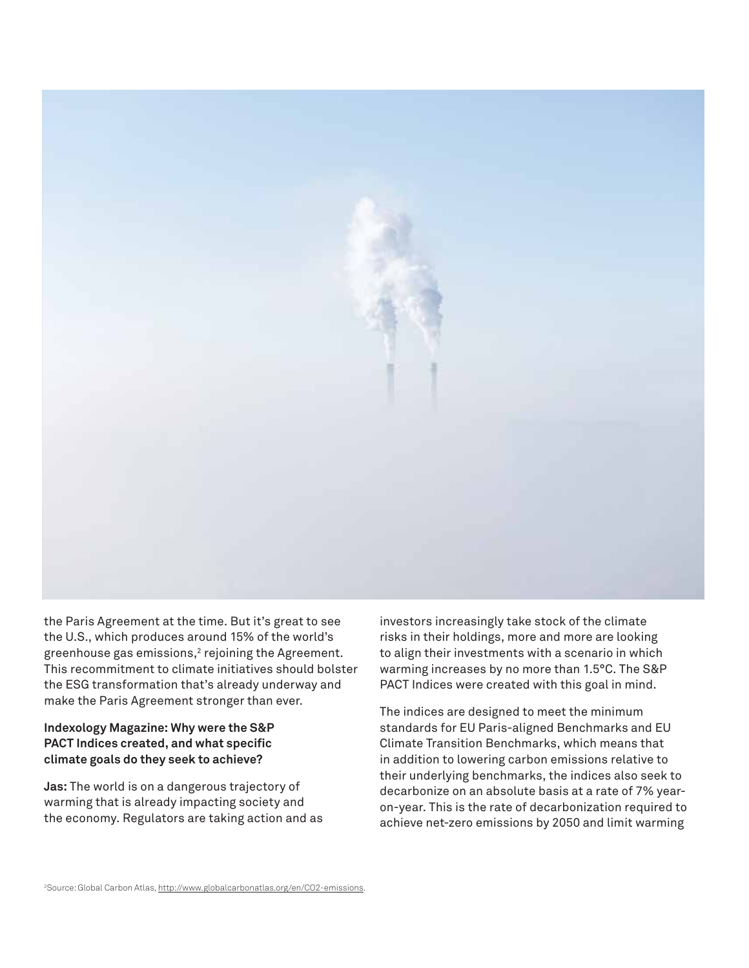

the Paris Agreement at the time. But it's great to see the U.S., which produces around 15% of the world's greenhouse gas emissions, $2$  rejoining the Agreement. This recommitment to climate initiatives should bolster the ESG transformation that's already underway and make the Paris Agreement stronger than ever.

# **Indexology Magazine: Why were the S&P PACT Indices created, and what specific climate goals do they seek to achieve?**

**Jas:** The world is on a dangerous trajectory of warming that is already impacting society and the economy. Regulators are taking action and as investors increasingly take stock of the climate risks in their holdings, more and more are looking to align their investments with a scenario in which warming increases by no more than 1.5°C. The S&P PACT Indices were created with this goal in mind.

The indices are designed to meet the minimum standards for EU Paris-aligned Benchmarks and EU Climate Transition Benchmarks, which means that in addition to lowering carbon emissions relative to their underlying benchmarks, the indices also seek to decarbonize on an absolute basis at a rate of 7% yearon-year. This is the rate of decarbonization required to achieve net-zero emissions by 2050 and limit warming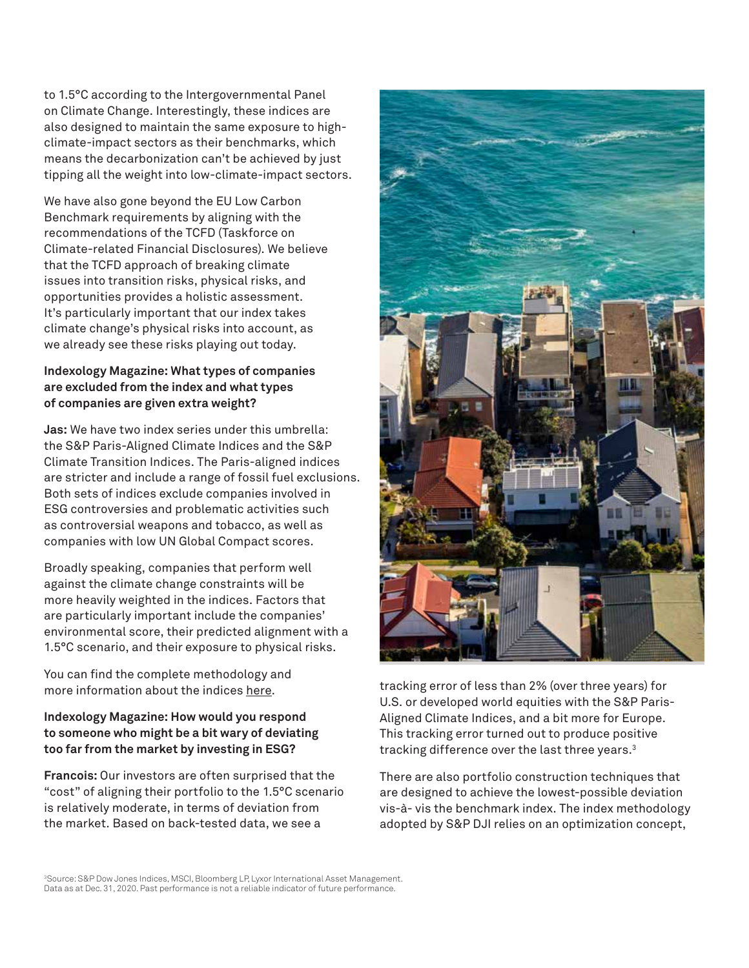to 1.5°C according to the Intergovernmental Panel on Climate Change. Interestingly, these indices are also designed to maintain the same exposure to highclimate-impact sectors as their benchmarks, which means the decarbonization can't be achieved by just tipping all the weight into low-climate-impact sectors.

We have also gone beyond the EU Low Carbon Benchmark requirements by aligning with the recommendations of the TCFD (Taskforce on Climate-related Financial Disclosures). We believe that the TCFD approach of breaking climate issues into transition risks, physical risks, and opportunities provides a holistic assessment. It's particularly important that our index takes climate change's physical risks into account, as we already see these risks playing out today.

## **Indexology Magazine: What types of companies are excluded from the index and what types of companies are given extra weight?**

**Jas:** We have two index series under this umbrella: the S&P Paris-Aligned Climate Indices and the S&P Climate Transition Indices. The Paris-aligned indices are stricter and include a range of fossil fuel exclusions. Both sets of indices exclude companies involved in ESG controversies and problematic activities such as controversial weapons and tobacco, as well as companies with low UN Global Compact scores.

Broadly speaking, companies that perform well against the climate change constraints will be more heavily weighted in the indices. Factors that are particularly important include the companies' environmental score, their predicted alignment with a 1.5°C scenario, and their exposure to physical risks.

You can find the complete methodology and more information about the indices [here](https://www.spglobal.com/spdji/en/index-family/esg/esg-climate/paris-aligned-climate-transition-pact/#overview).

# **Indexology Magazine: How would you respond to someone who might be a bit wary of deviating too far from the market by investing in ESG?**

**Francois:** Our investors are often surprised that the "cost" of aligning their portfolio to the 1.5°C scenario is relatively moderate, in terms of deviation from the market. Based on back-tested data, we see a



tracking error of less than 2% (over three years) for U.S. or developed world equities with the S&P Paris-Aligned Climate Indices, and a bit more for Europe. This tracking error turned out to produce positive tracking difference over the last three years.3

There are also portfolio construction techniques that are designed to achieve the lowest-possible deviation vis-à- vis the benchmark index. The index methodology adopted by S&P DJI relies on an optimization concept,

3Source: S&P Dow Jones Indices, MSCI, Bloomberg LP, Lyxor International Asset Management. Data as at Dec. 31, 2020. Past performance is not a reliable indicator of future performance.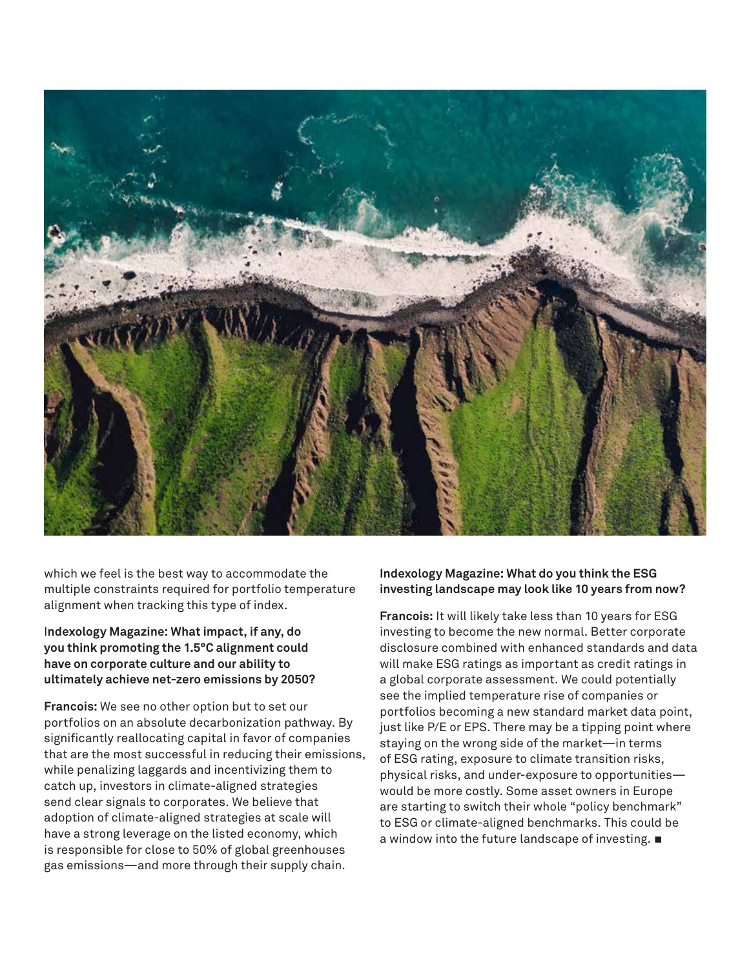

which we feel is the best way to accommodate the multiple constraints required for portfolio temperature alignment when tracking this type of index.

I**ndexology Magazine: What impact, if any, do you think promoting the 1.5°C alignment could have on corporate culture and our ability to ultimately achieve net-zero emissions by 2050?** 

**Francois:** We see no other option but to set our portfolios on an absolute decarbonization pathway. By significantly reallocating capital in favor of companies that are the most successful in reducing their emissions, while penalizing laggards and incentivizing them to catch up, investors in climate-aligned strategies send clear signals to corporates. We believe that adoption of climate-aligned strategies at scale will have a strong leverage on the listed economy, which is responsible for close to 50% of global greenhouses gas emissions—and more through their supply chain.

### **Indexology Magazine: What do you think the ESG investing landscape may look like 10 years from now?**

**Francois:** It will likely take less than 10 years for ESG investing to become the new normal. Better corporate disclosure combined with enhanced standards and data will make ESG ratings as important as credit ratings in a global corporate assessment. We could potentially see the implied temperature rise of companies or portfolios becoming a new standard market data point, just like P/E or EPS. There may be a tipping point where staying on the wrong side of the market—in terms of ESG rating, exposure to climate transition risks, physical risks, and under-exposure to opportunities would be more costly. Some asset owners in Europe are starting to switch their whole "policy benchmark" to ESG or climate-aligned benchmarks. This could be a window into the future landscape of investing.  $\blacksquare$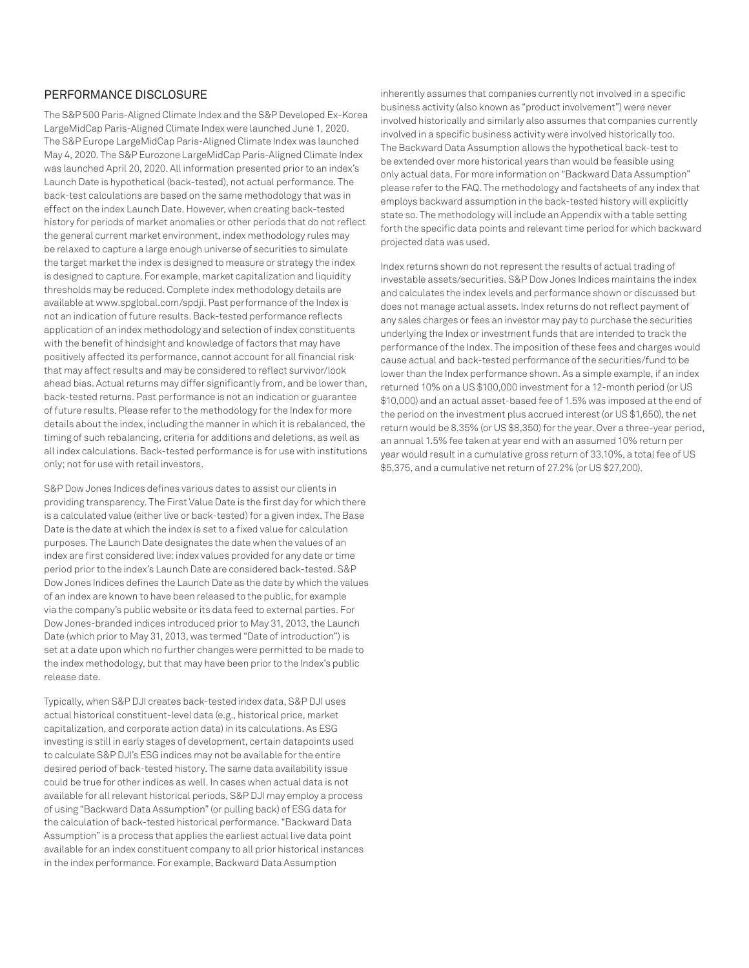#### PERFORMANCE DISCLOSURE

The S&P 500 Paris-Aligned Climate Index and the S&P Developed Ex-Korea LargeMidCap Paris-Aligned Climate Index were launched June 1, 2020. The S&P Europe LargeMidCap Paris-Aligned Climate Index was launched May 4, 2020. The S&P Eurozone LargeMidCap Paris-Aligned Climate Index was launched April 20, 2020. All information presented prior to an index's Launch Date is hypothetical (back-tested), not actual performance. The back-test calculations are based on the same methodology that was in effect on the index Launch Date. However, when creating back-tested history for periods of market anomalies or other periods that do not reflect the general current market environment, index methodology rules may be relaxed to capture a large enough universe of securities to simulate the target market the index is designed to measure or strategy the index is designed to capture. For example, market capitalization and liquidity thresholds may be reduced. Complete index methodology details are available at www.spglobal.com/spdji. Past performance of the Index is not an indication of future results. Back-tested performance reflects application of an index methodology and selection of index constituents with the benefit of hindsight and knowledge of factors that may have positively affected its performance, cannot account for all financial risk that may affect results and may be considered to reflect survivor/look ahead bias. Actual returns may differ significantly from, and be lower than, back-tested returns. Past performance is not an indication or guarantee of future results. Please refer to the methodology for the Index for more details about the index, including the manner in which it is rebalanced, the timing of such rebalancing, criteria for additions and deletions, as well as all index calculations. Back-tested performance is for use with institutions only; not for use with retail investors.

S&P Dow Jones Indices defines various dates to assist our clients in providing transparency. The First Value Date is the first day for which there is a calculated value (either live or back-tested) for a given index. The Base Date is the date at which the index is set to a fixed value for calculation purposes. The Launch Date designates the date when the values of an index are first considered live: index values provided for any date or time period prior to the index's Launch Date are considered back-tested. S&P Dow Jones Indices defines the Launch Date as the date by which the values of an index are known to have been released to the public, for example via the company's public website or its data feed to external parties. For Dow Jones-branded indices introduced prior to May 31, 2013, the Launch Date (which prior to May 31, 2013, was termed "Date of introduction") is set at a date upon which no further changes were permitted to be made to the index methodology, but that may have been prior to the Index's public release date.

Typically, when S&P DJI creates back-tested index data, S&P DJI uses actual historical constituent-level data (e.g., historical price, market capitalization, and corporate action data) in its calculations. As ESG investing is still in early stages of development, certain datapoints used to calculate S&P DJI's ESG indices may not be available for the entire desired period of back-tested history. The same data availability issue could be true for other indices as well. In cases when actual data is not available for all relevant historical periods, S&P DJI may employ a process of using "Backward Data Assumption" (or pulling back) of ESG data for the calculation of back-tested historical performance. "Backward Data Assumption" is a process that applies the earliest actual live data point available for an index constituent company to all prior historical instances in the index performance. For example, Backward Data Assumption

inherently assumes that companies currently not involved in a specific business activity (also known as "product involvement") were never involved historically and similarly also assumes that companies currently involved in a specific business activity were involved historically too. The Backward Data Assumption allows the hypothetical back-test to be extended over more historical years than would be feasible using only actual data. For more information on "Backward Data Assumption" please refer to the FAQ. The methodology and factsheets of any index that employs backward assumption in the back-tested history will explicitly state so. The methodology will include an Appendix with a table setting forth the specific data points and relevant time period for which backward projected data was used.

Index returns shown do not represent the results of actual trading of investable assets/securities. S&P Dow Jones Indices maintains the index and calculates the index levels and performance shown or discussed but does not manage actual assets. Index returns do not reflect payment of any sales charges or fees an investor may pay to purchase the securities underlying the Index or investment funds that are intended to track the performance of the Index. The imposition of these fees and charges would cause actual and back-tested performance of the securities/fund to be lower than the Index performance shown. As a simple example, if an index returned 10% on a US \$100,000 investment for a 12-month period (or US \$10,000) and an actual asset-based fee of 1.5% was imposed at the end of the period on the investment plus accrued interest (or US \$1,650), the net return would be 8.35% (or US \$8,350) for the year. Over a three-year period, an annual 1.5% fee taken at year end with an assumed 10% return per year would result in a cumulative gross return of 33.10%, a total fee of US \$5,375, and a cumulative net return of 27.2% (or US \$27,200).